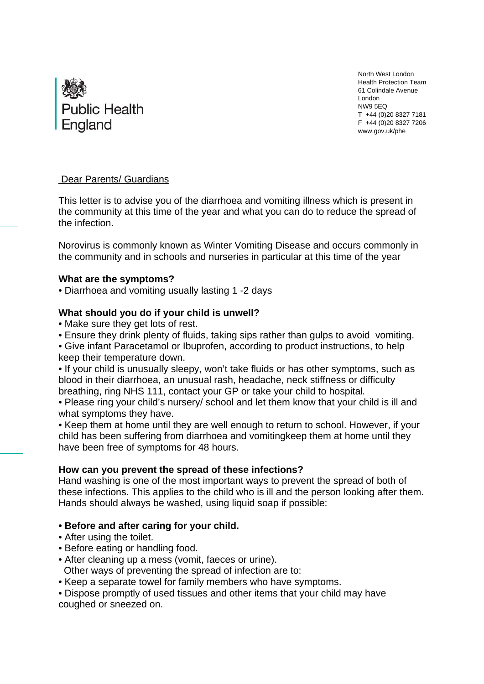

 North West London Health Protection Team 61 Colindale Avenue London NW9 5EQ T +44 (0)20 8327 7181 F +44 (0)20 8327 7206 www.gov.uk/phe

# Dear Parents/ Guardians

This letter is to advise you of the diarrhoea and vomiting illness which is present in the community at this time of the year and what you can do to reduce the spread of the infection.

Norovirus is commonly known as Winter Vomiting Disease and occurs commonly in the community and in schools and nurseries in particular at this time of the year

## **What are the symptoms?**

• Diarrhoea and vomiting usually lasting 1 -2 days

# **What should you do if your child is unwell?**

- Make sure they get lots of rest.
- Ensure they drink plenty of fluids, taking sips rather than gulps to avoid vomiting.

• Give infant Paracetamol or Ibuprofen, according to product instructions, to help keep their temperature down.

• If your child is unusually sleepy, won't take fluids or has other symptoms, such as blood in their diarrhoea, an unusual rash, headache, neck stiffness or difficulty breathing, ring NHS 111, contact your GP or take your child to hospital*.*

• Please ring your child's nursery/ school and let them know that your child is ill and what symptoms they have.

• Keep them at home until they are well enough to return to school. However, if your child has been suffering from diarrhoea and vomitingkeep them at home until they have been free of symptoms for 48 hours.

# **How can you prevent the spread of these infections?**

Hand washing is one of the most important ways to prevent the spread of both of these infections. This applies to the child who is ill and the person looking after them. Hands should always be washed, using liquid soap if possible:

# **• Before and after caring for your child.**

- After using the toilet.
- Before eating or handling food.
- After cleaning up a mess (vomit, faeces or urine).
- Other ways of preventing the spread of infection are to:
- Keep a separate towel for family members who have symptoms.

• Dispose promptly of used tissues and other items that your child may have coughed or sneezed on.